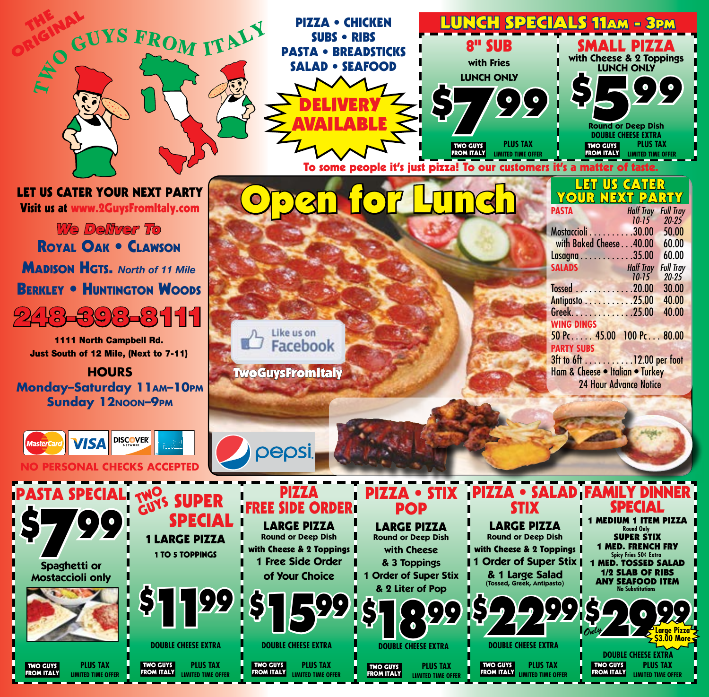